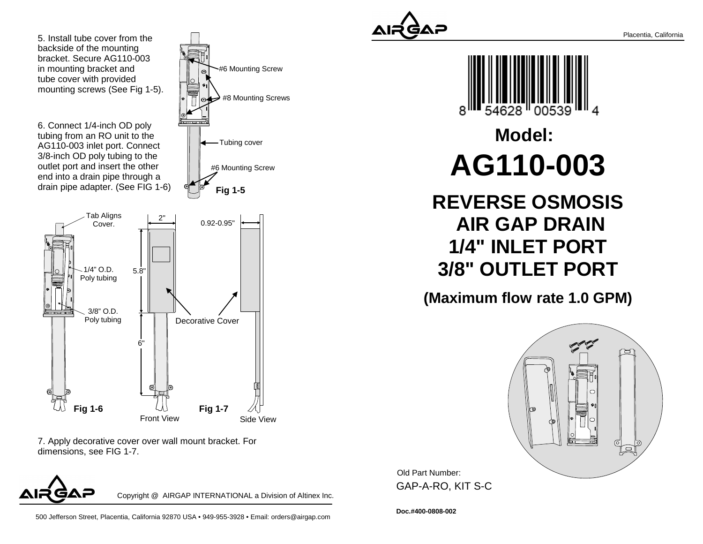5. Install tube cover from thebackside of the mounting bracket. Secure AG110-003in mounting bracket and tube cover with providedmounting screws (See Fig 1-5).

6. Connect 1/4-inch OD poly tubing from an RO unit to the AG110-003 inlet port. Connect 3/8-inch OD poly tubing to the outlet port and insert the other end into a drain pipe through adrain pipe adapter. (See FIG 1-6)



7. Apply decorative cover over wall mount bracket. Fordimensions, see FIG 1-7.



Copyright @ AIRGAP INTERNATIONAL a Division of Altinex Inc.

**Fig 1-5**

-Tubing cover

#6 Mounting Screw

#6 Mounting Screw

#8 Mounting Screws

500 Jefferson Street, Placentia, California 92870 USA • 949-955-3928 • Email: orders@airgap.com





## **Model:AG110-003**

**REVERSE OSMOSIS AIR GAP DRAIN 1/4" INLET PORT3/8" OUTLET PORT**

**(Maximum flow rate 1.0 GPM)**



Old Part Number: GAP-A-RO, KIT S-C

**Doc.#400-0808-002**